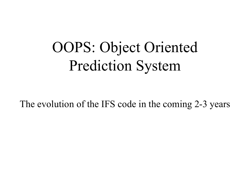#### OOPS: Object Oriented Prediction System

The evolution of the IFS code in the coming 2-3 years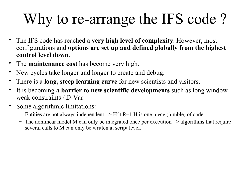# Why to re-arrange the IFS code ?

- The IFS code has reached a **very high level of complexity**. However, most configurations and **options are set up and defined globally from the highest control level down**.
- The **maintenance cost** has become very high.
- New cycles take longer and longer to create and debug.
- There is a **long, steep learning curve** for new scientists and visitors.
- It is becoming **a barrier to new scientific developments** such as long window weak constraints 4D-Var.
- Some algorithmic limitations:
	- Entities are not always independent => H^t R−1 H is one piece (jumble) of code.
	- $-$  The nonlinear model M can only be integrated once per execution  $\Rightarrow$  algorithms that require several calls to M can only be written at script level.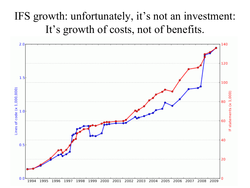#### IFS growth: unfortunately, it's not an investment: It's growth of costs, not of benefits.

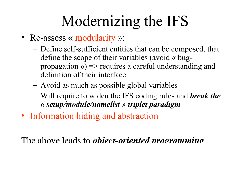## Modernizing the IFS

- Re-assess « modularity »:
	- Define self-sufficient entities that can be composed, that define the scope of their variables (avoid « bugpropagation  $\gg$  => requires a careful understanding and definition of their interface
	- Avoid as much as possible global variables
	- Will require to widen the IFS coding rules and *break the « setup/module/namelist » triplet paradigm*
- Information hiding and abstraction

The above leads to *object-oriented programming*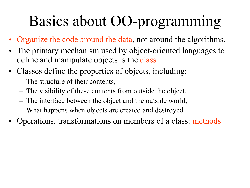## Basics about OO-programming

- Organize the code around the data, not around the algorithms.
- The primary mechanism used by object-oriented languages to define and manipulate objects is the class
- Classes define the properties of objects, including:
	- The structure of their contents,
	- The visibility of these contents from outside the object,
	- The interface between the object and the outside world,
	- What happens when objects are created and destroyed.
- Operations, transformations on members of a class: methods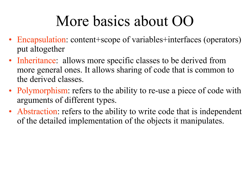#### More basics about OO

- Encapsulation: content+scope of variables+interfaces (operators) put altogether
- Inheritance: allows more specific classes to be derived from more general ones. It allows sharing of code that is common to the derived classes.
- Polymorphism: refers to the ability to re-use a piece of code with arguments of different types.
- Abstraction: refers to the ability to write code that is independent of the detailed implementation of the objects it manipulates.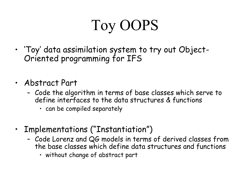# Toy OOPS

- 'Toy' data assimilation system to try out Object-Oriented programming for IFS
- Abstract Part
	- Code the algorithm in terms of base classes which serve to define interfaces to the data structures & functions
		- can be compiled separately
- Implementations ("Instantiation")
	- Code Lorenz and QG models in terms of derived classes from the base classes which define data structures and functions
		- without change of abstract part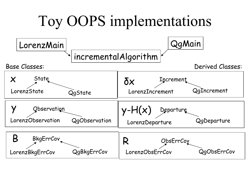#### Toy OOPS implementations

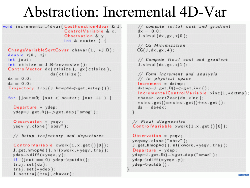#### Abstraction: Incremental 4D-Var

void incremental\_4dvar(CostFunction4dvar & J,  $\frac{1}{x}$  compute inital cost and gradient<br>ControlVariable & x,  $\frac{dx}{dx} = 0.0$ ;<br>Observation & y, J.simul(dx.gx.zj0);  $int & nouter$  ) {

```
ChangeVariableSqrtCovar chavar(1, *J.B);
double zj0, zj1int jout;
ControlVector dx(ctlsize), gx(ctlsize),
              da (ctisize);
dx = 0.0da = 0.0:
Trajectory traj (J. hmop4d->get_nstep());
```

```
for (jout=0; jout \lt nouter; jout + ) {
```

```
Departure * ydep:
ydep=J. get=R()->get-dep('ombg');
```

```
Observation * yeav;
yeqv=y. clone ("obsv");
```

```
// Setup trajectory and departures
```

```
ControlVariable xwork(1, x.get()[0]);
J.get_hmop4d(). nI(xwork, *year, traj);ydep\Rightarrowdiff(*yeqv,y);
if (jout == 0) ydep->putdb();
traj.set(da);traj.set(*ydep);J. settraj (traj, chavar);
```

```
// CG Minimization
CG(J, dx, gx, 4);
```
// Compute final cost and gradient  $J.$  simul  $(dx, gx, z|1)$ :

```
// Form increment and analysis
// in physical space
Increment * dxtmp:
dxtmp=J. get.B()->get_inc();IncrementalControlVariable xinc(1,*dxtmp);
chavar.vect2var(dx.xinc);
*xinc.get()=\n* xinc.get()+\n* x.get();da = da + dx:
```

```
// Final diagnostics
ControlVariable xwork(1, x.get() [0]);
```

```
Observation * yeqv;
yeqv=y.clone("obsv");
J.get_hmop4d().nl(xwork,*yeqv,traj);
Departure * ydep;
ydep-J.get_R()->get_dep("oman");
ydep \rightarrow diff (*yeqv, y);
ydep \rightarrow putdb();
```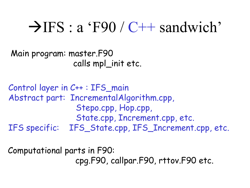#### $\rightarrow$  IFS : a 'F90 / C++ sandwich'

```
Main program: master.F90 
                 calls mpl_init etc.
```

```
Control layer in C++ : IFS_main
Abstract part: IncrementalAlgorithm.cpp, 
                  Stepo.cpp, Hop.cpp,
                  State.cpp, Increment.cpp, etc.
IFS specific: IFS_State.cpp, IFS_Increment.cpp, etc.
```
Computational parts in F90: cpg.F90, callpar.F90, rttov.F90 etc.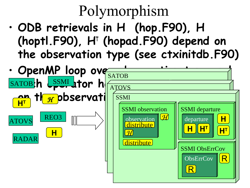## Polymorphism

• **ODB retrievals in H (hop.F90), H (hoptl.F90), HT (hopad.F90) depend on the observation type (see ctxinitdb.F90)** 

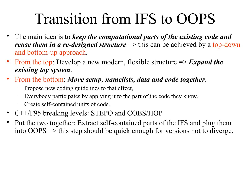#### Transition from IFS to OOPS

- The main idea is to *keep the computational parts of the existing code and reuse them in a re-designed structure* => this can be achieved by a top-down and bottom-up approach.
- From the top: Develop a new modern, flexible structure => *Expand the existing toy system*.
- From the bottom: *Move setup, namelists, data and code together*.
	- Propose new coding guidelines to that effect,
	- Everybody participates by applying it to the part of the code they know.
	- Create self-contained units of code.
- C++/F95 breaking levels: STEPO and COBS/HOP
- Put the two together: Extract self-contained parts of the IFS and plug them into OOPS => this step should be quick enough for versions not to diverge.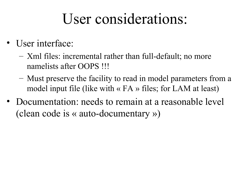#### User considerations:

- User interface:
	- Xml files: incremental rather than full-default; no more namelists after OOPS !!!
	- Must preserve the facility to read in model parameters from a model input file (like with  $\langle$  FA  $\rangle$  files; for LAM at least)
- Documentation: needs to remain at a reasonable level (clean code is « auto-documentary »)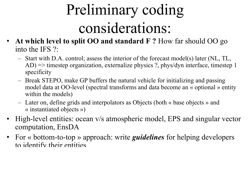# Preliminary coding considerations:

- **At which level to split OO and standard F ?** How far should OO go into the IFS ?:
	- Start with D.A. control; assess the interior of the forecast model(s) later (NL, TL, AD) => timestep organization, externalize physics ?, phys/dyn interface, timestep 1 specificity
	- Break STEPO, make GP buffers the natural vehicle for initializing and passing model data at OO-level (spectral transforms and data become an « optional » entity within the models)
	- Later on, define grids and interpolators as Objects (both « base objects » and « instantiated objects »)
- High-level entities: ocean v/s atmospheric model, EPS and singular vector computation, EnsDA
- For « bottom-to-top » approach: write *guidelines* for helping developers to identify their entities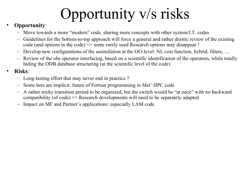## Opportunity v/s risks

#### • **Opportunity**:

- Move towards a more "modern" code, sharing more concepts with other system/I.T. codes
- Guidelines for the bottom-to-top approach will force a general and rather drastic review of the existing code (and options in the code) => some rarely used Research options may disappear !
- Develop new configurations of the assimilation at the OO-level: NL cost function, hybrid, filters, …
- Review of the obs operator interfacing, based on a scientific identification of the operators, while totally hiding the ODB database structuring (at the scientific level of the code)

#### • **Risks**:

- Long-lasting effort that may never end in practice ?
- Some bets are implicit: future of Fortran programming in Met' HPC code
- A rather tricky transition period to be organized, but the switch would be "at once" with no backward compatibility (of code) => Research developments will need to be separately adapted
- Impact on MF and Partner's applications: especially LAM code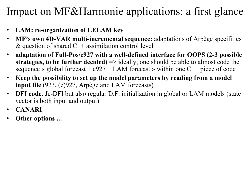#### Impact on MF&Harmonie applications: a first glance

- **LAM: re-organization of LELAM key**
- **MF's own 4D-VAR multi-incremental sequence:** adaptations of Arpège specifities & question of shared  $C++$  assimilation control level
- **adaptation of Full-Pos/e927 with a well-defined interface for OOPS (2-3 possible strategies, to be further decided)** => ideally, one should be able to almost code the sequence « global forecast  $+ e927 + LAM$  forecast » within one C $+$  piece of code
- **Keep the possibility to set up the model parameters by reading from a model input file** (923, (e)927, Arpège and LAM forecasts)
- **DFI code**: Jc-DFI but also regular D.F. initialization in global or LAM models (state vector is both input and output)
- **CANARI**
- **Other options …**